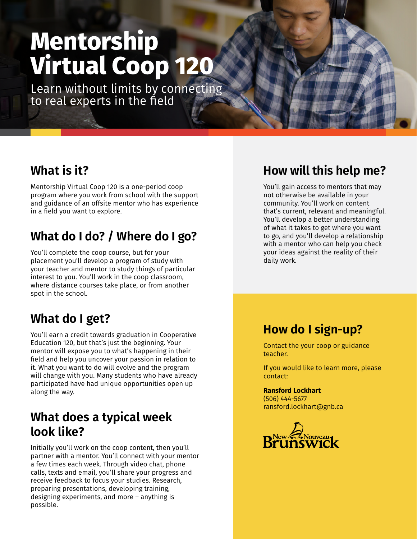# **Mentorship Virtual Coop 120**

Learn without limits by connecting to real experts in the field

# **What is it?**

Mentorship Virtual Coop 120 is a one-period coop program where you work from school with the support and guidance of an offsite mentor who has experience in a field you want to explore.

# **What do I do? / Where do I go?**

You'll complete the coop course, but for your placement you'll develop a program of study with your teacher and mentor to study things of particular interest to you. You'll work in the coop classroom, where distance courses take place, or from another spot in the school.

# **What do I get?**

You'll earn a credit towards graduation in Cooperative Education 120, but that's just the beginning. Your mentor will expose you to what's happening in their field and help you uncover your passion in relation to it. What you want to do will evolve and the program will change with you. Many students who have already participated have had unique opportunities open up along the way.

# **What does a typical week look like?**

Initially you'll work on the coop content, then you'll partner with a mentor. You'll connect with your mentor a few times each week. Through video chat, phone calls, texts and email, you'll share your progress and receive feedback to focus your studies. Research, preparing presentations, developing training, designing experiments, and more – anything is possible.

# **How will this help me?**

You'll gain access to mentors that may not otherwise be available in your community. You'll work on content that's current, relevant and meaningful. You'll develop a better understanding of what it takes to get where you want to go, and you'll develop a relationship with a mentor who can help you check your ideas against the reality of their daily work.

#### **How do I sign-up?**

Contact the your coop or guidance teacher.

If you would like to learn more, please contact:

#### **Ransford Lockhart**

(506) 444-5677 ransford.lockhart@gnb.ca